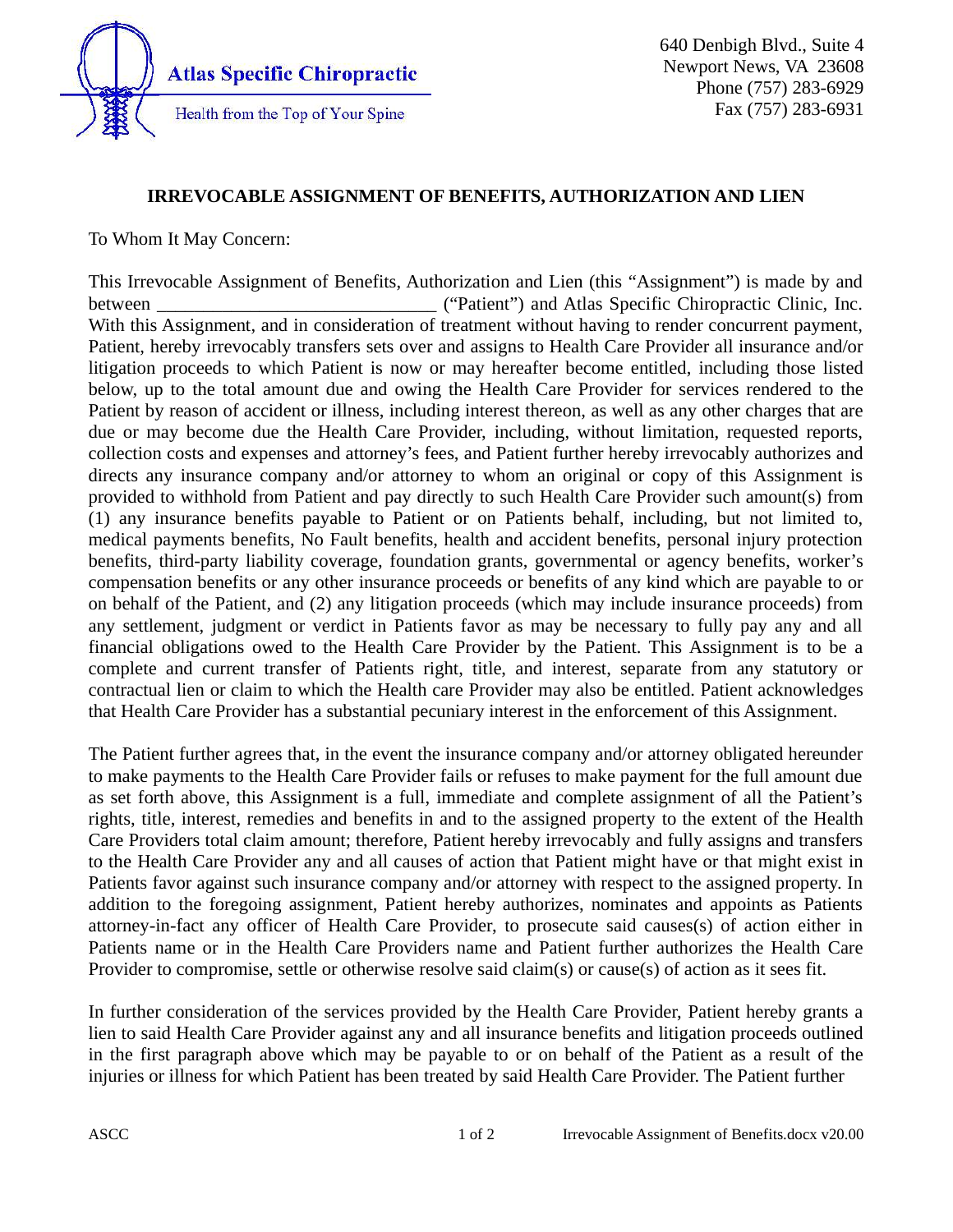

640 Denbigh Blvd., Suite 4 Newport News, VA 23608 Phone (757) 283-6929 Fax (757) 283-6931

## IRREVOCABLE ASSIGNMENT OF BENEFITS, AUTHORIZATION AND LIEN

To Whom It May Concern:

This Irrevocable Assignment of Benefits, Authorization and Lien (this "Assignment") is made by and between \_\_\_\_\_\_\_\_\_\_\_\_\_\_\_\_\_\_\_\_\_\_\_\_\_\_\_\_\_\_ ("Patient") and Atlas Specific Chiropractic Clinic, Inc. With this Assignment, and in consideration of treatment without having to render concurrent payment, Patient, hereby irrevocably transfers sets over and assigns to Health Care Provider all insurance and/or litigation proceeds to which Patient is now or may hereafter become entitled, including those listed below, up to the total amount due and owing the Health Care Provider for services rendered to the Patient by reason of accident or illness, including interest thereon, as well as any other charges that are due or may become due the Health Care Provider, including, without limitation, requested reports, collection costs and expenses and attorney's fees, and Patient further hereby irrevocably authorizes and directs any insurance company and/or attorney to whom an original or copy of this Assignment is provided to withhold from Patient and pay directly to such Health Care Provider such amount(s) from (1) any insurance benefits payable to Patient or on Patients behalf, including, but not limited to, medical payments benefits, No Fault benefits, health and accident benefits, personal injury protection benefits, third-party liability coverage, foundation grants, governmental or agency benefits, worker's compensation benefits or any other insurance proceeds or benefits of any kind which are payable to or on behalf of the Patient, and (2) any litigation proceeds (which may include insurance proceeds) from any settlement, judgment or verdict in Patients favor as may be necessary to fully pay any and all financial obligations owed to the Health Care Provider by the Patient. This Assignment is to be a complete and current transfer of Patients right, title, and interest, separate from any statutory or contractual lien or claim to which the Health care Provider may also be entitled. Patient acknowledges that Health Care Provider has a substantial pecuniary interest in the enforcement of this Assignment.

The Patient further agrees that, in the event the insurance company and/or attorney obligated hereunder to make payments to the Health Care Provider fails or refuses to make payment for the full amount due as set forth above, this Assignment is a full, immediate and complete assignment of all the Patient's rights, title, interest, remedies and benefits in and to the assigned property to the extent of the Health Care Providers total claim amount; therefore, Patient hereby irrevocably and fully assigns and transfers to the Health Care Provider any and all causes of action that Patient might have or that might exist in Patients favor against such insurance company and/or attorney with respect to the assigned property. In addition to the foregoing assignment, Patient hereby authorizes, nominates and appoints as Patients attorney-in-fact any officer of Health Care Provider, to prosecute said causes(s) of action either in Patients name or in the Health Care Providers name and Patient further authorizes the Health Care Provider to compromise, settle or otherwise resolve said claim(s) or cause(s) of action as it sees fit.

In further consideration of the services provided by the Health Care Provider, Patient hereby grants a lien to said Health Care Provider against any and all insurance benefits and litigation proceeds outlined in the first paragraph above which may be payable to or on behalf of the Patient as a result of the injuries or illness for which Patient has been treated by said Health Care Provider. The Patient further